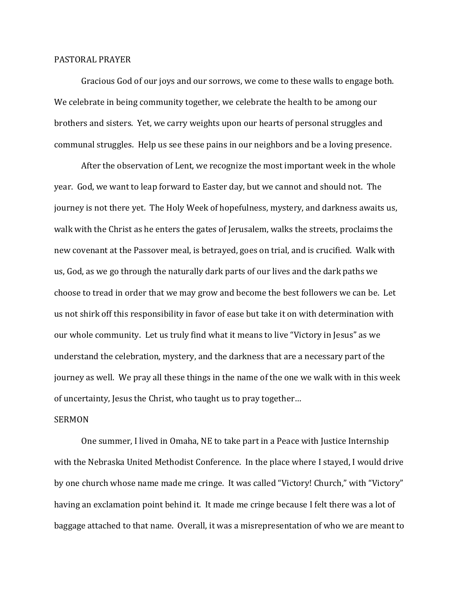## PASTORAL PRAYER

 Gracious God of our joys and our sorrows, we come to these walls to engage both. We celebrate in being community together, we celebrate the health to be among our brothers and sisters. Yet, we carry weights upon our hearts of personal struggles and communal struggles. Help us see these pains in our neighbors and be a loving presence.

 After the observation of Lent, we recognize the most important week in the whole year. God, we want to leap forward to Easter day, but we cannot and should not. The journey is not there yet. The Holy Week of hopefulness, mystery, and darkness awaits us, walk with the Christ as he enters the gates of Jerusalem, walks the streets, proclaims the new covenant at the Passover meal, is betrayed, goes on trial, and is crucified. Walk with us, God, as we go through the naturally dark parts of our lives and the dark paths we choose to tread in order that we may grow and become the best followers we can be. Let us not shirk off this responsibility in favor of ease but take it on with determination with our whole community. Let us truly find what it means to live "Victory in Jesus" as we understand the celebration, mystery, and the darkness that are a necessary part of the journey as well. We pray all these things in the name of the one we walk with in this week of uncertainty, Jesus the Christ, who taught us to pray together…

## **SERMON**

 One summer, I lived in Omaha, NE to take part in a Peace with Justice Internship with the Nebraska United Methodist Conference. In the place where I stayed, I would drive by one church whose name made me cringe. It was called "Victory! Church," with "Victory" having an exclamation point behind it. It made me cringe because I felt there was a lot of baggage attached to that name. Overall, it was a misrepresentation of who we are meant to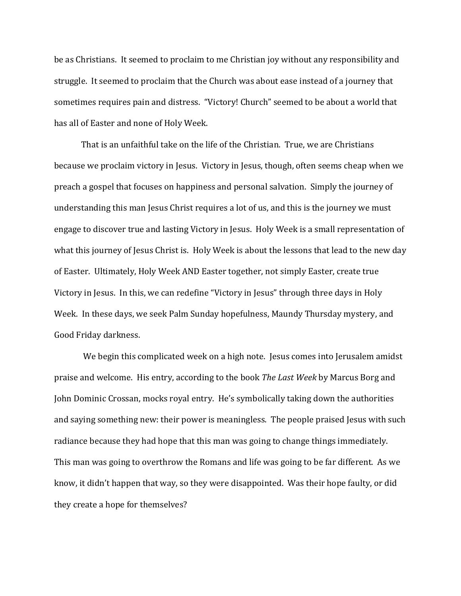be as Christians. It seemed to proclaim to me Christian joy without any responsibility and struggle. It seemed to proclaim that the Church was about ease instead of a journey that sometimes requires pain and distress. "Victory! Church" seemed to be about a world that has all of Easter and none of Holy Week.

 That is an unfaithful take on the life of the Christian. True, we are Christians because we proclaim victory in Jesus. Victory in Jesus, though, often seems cheap when we preach a gospel that focuses on happiness and personal salvation. Simply the journey of understanding this man Jesus Christ requires a lot of us, and this is the journey we must engage to discover true and lasting Victory in Jesus. Holy Week is a small representation of what this journey of Jesus Christ is. Holy Week is about the lessons that lead to the new day of Easter. Ultimately, Holy Week AND Easter together, not simply Easter, create true Victory in Jesus. In this, we can redefine "Victory in Jesus" through three days in Holy Week. In these days, we seek Palm Sunday hopefulness, Maundy Thursday mystery, and Good Friday darkness.

We begin this complicated week on a high note. Jesus comes into Jerusalem amidst praise and welcome. His entry, according to the book *The Last Week* by Marcus Borg and John Dominic Crossan, mocks royal entry. He's symbolically taking down the authorities and saying something new: their power is meaningless. The people praised Jesus with such radiance because they had hope that this man was going to change things immediately. This man was going to overthrow the Romans and life was going to be far different. As we know, it didn't happen that way, so they were disappointed. Was their hope faulty, or did they create a hope for themselves?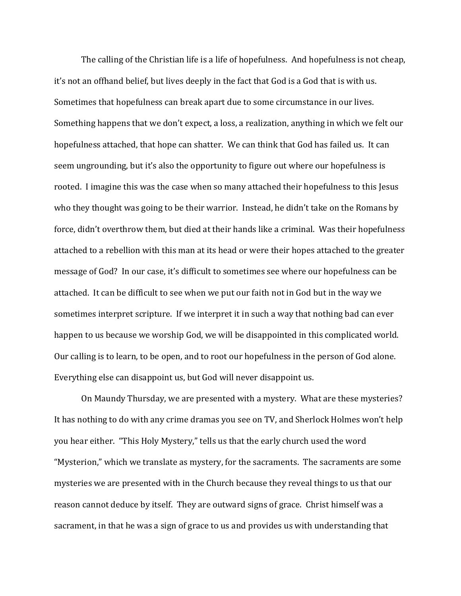The calling of the Christian life is a life of hopefulness. And hopefulness is not cheap, it's not an offhand belief, but lives deeply in the fact that God is a God that is with us. Sometimes that hopefulness can break apart due to some circumstance in our lives. Something happens that we don't expect, a loss, a realization, anything in which we felt our hopefulness attached, that hope can shatter. We can think that God has failed us. It can seem ungrounding, but it's also the opportunity to figure out where our hopefulness is rooted. I imagine this was the case when so many attached their hopefulness to this Jesus who they thought was going to be their warrior. Instead, he didn't take on the Romans by force, didn't overthrow them, but died at their hands like a criminal. Was their hopefulness attached to a rebellion with this man at its head or were their hopes attached to the greater message of God? In our case, it's difficult to sometimes see where our hopefulness can be attached. It can be difficult to see when we put our faith not in God but in the way we sometimes interpret scripture. If we interpret it in such a way that nothing bad can ever happen to us because we worship God, we will be disappointed in this complicated world. Our calling is to learn, to be open, and to root our hopefulness in the person of God alone. Everything else can disappoint us, but God will never disappoint us.

 On Maundy Thursday, we are presented with a mystery. What are these mysteries? It has nothing to do with any crime dramas you see on TV, and Sherlock Holmes won't help you hear either. "This Holy Mystery," tells us that the early church used the word "Mysterion," which we translate as mystery, for the sacraments. The sacraments are some mysteries we are presented with in the Church because they reveal things to us that our reason cannot deduce by itself. They are outward signs of grace. Christ himself was a sacrament, in that he was a sign of grace to us and provides us with understanding that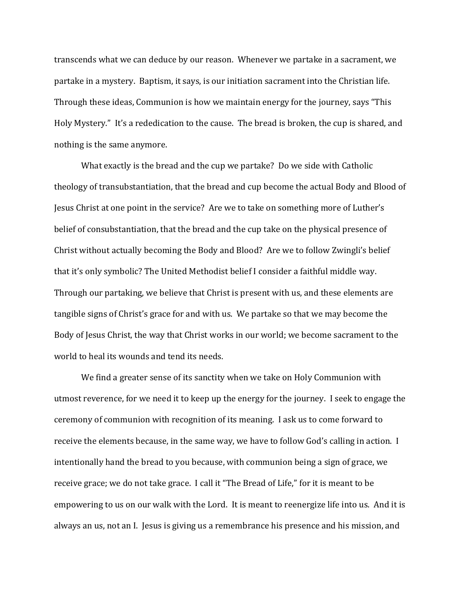transcends what we can deduce by our reason. Whenever we partake in a sacrament, we partake in a mystery. Baptism, it says, is our initiation sacrament into the Christian life. Through these ideas, Communion is how we maintain energy for the journey, says "This Holy Mystery." It's a rededication to the cause. The bread is broken, the cup is shared, and nothing is the same anymore.

What exactly is the bread and the cup we partake? Do we side with Catholic theology of transubstantiation, that the bread and cup become the actual Body and Blood of Jesus Christ at one point in the service? Are we to take on something more of Luther's belief of consubstantiation, that the bread and the cup take on the physical presence of Christ without actually becoming the Body and Blood? Are we to follow Zwingli's belief that it's only symbolic? The United Methodist belief I consider a faithful middle way. Through our partaking, we believe that Christ is present with us, and these elements are tangible signs of Christ's grace for and with us. We partake so that we may become the Body of Jesus Christ, the way that Christ works in our world; we become sacrament to the world to heal its wounds and tend its needs.

 We find a greater sense of its sanctity when we take on Holy Communion with utmost reverence, for we need it to keep up the energy for the journey. I seek to engage the ceremony of communion with recognition of its meaning. I ask us to come forward to receive the elements because, in the same way, we have to follow God's calling in action. I intentionally hand the bread to you because, with communion being a sign of grace, we receive grace; we do not take grace. I call it "The Bread of Life," for it is meant to be empowering to us on our walk with the Lord. It is meant to reenergize life into us. And it is always an us, not an I. Jesus is giving us a remembrance his presence and his mission, and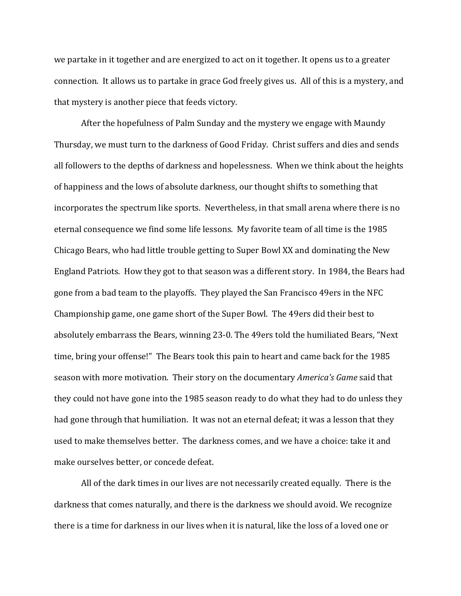we partake in it together and are energized to act on it together. It opens us to a greater connection. It allows us to partake in grace God freely gives us. All of this is a mystery, and that mystery is another piece that feeds victory.

 After the hopefulness of Palm Sunday and the mystery we engage with Maundy Thursday, we must turn to the darkness of Good Friday. Christ suffers and dies and sends all followers to the depths of darkness and hopelessness. When we think about the heights of happiness and the lows of absolute darkness, our thought shifts to something that incorporates the spectrum like sports. Nevertheless, in that small arena where there is no eternal consequence we find some life lessons. My favorite team of all time is the 1985 Chicago Bears, who had little trouble getting to Super Bowl XX and dominating the New England Patriots. How they got to that season was a different story. In 1984, the Bears had gone from a bad team to the playoffs. They played the San Francisco 49ers in the NFC Championship game, one game short of the Super Bowl. The 49ers did their best to absolutely embarrass the Bears, winning 23-0. The 49ers told the humiliated Bears, "Next time, bring your offense!" The Bears took this pain to heart and came back for the 1985 season with more motivation. Their story on the documentary *America's Game* said that they could not have gone into the 1985 season ready to do what they had to do unless they had gone through that humiliation. It was not an eternal defeat; it was a lesson that they used to make themselves better. The darkness comes, and we have a choice: take it and make ourselves better, or concede defeat.

 All of the dark times in our lives are not necessarily created equally. There is the darkness that comes naturally, and there is the darkness we should avoid. We recognize there is a time for darkness in our lives when it is natural, like the loss of a loved one or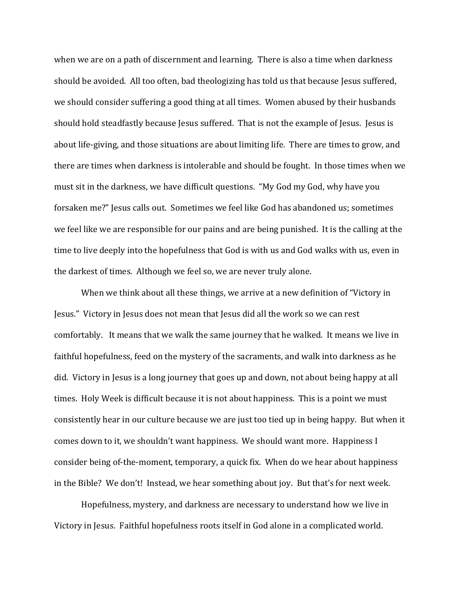when we are on a path of discernment and learning. There is also a time when darkness should be avoided. All too often, bad theologizing has told us that because Jesus suffered, we should consider suffering a good thing at all times. Women abused by their husbands should hold steadfastly because Jesus suffered. That is not the example of Jesus. Jesus is about life-giving, and those situations are about limiting life. There are times to grow, and there are times when darkness is intolerable and should be fought. In those times when we must sit in the darkness, we have difficult questions. "My God my God, why have you forsaken me?" Jesus calls out. Sometimes we feel like God has abandoned us; sometimes we feel like we are responsible for our pains and are being punished. It is the calling at the time to live deeply into the hopefulness that God is with us and God walks with us, even in the darkest of times. Although we feel so, we are never truly alone.

 When we think about all these things, we arrive at a new definition of "Victory in Jesus." Victory in Jesus does not mean that Jesus did all the work so we can rest comfortably. It means that we walk the same journey that he walked. It means we live in faithful hopefulness, feed on the mystery of the sacraments, and walk into darkness as he did. Victory in Jesus is a long journey that goes up and down, not about being happy at all times. Holy Week is difficult because it is not about happiness. This is a point we must consistently hear in our culture because we are just too tied up in being happy. But when it comes down to it, we shouldn't want happiness. We should want more. Happiness I consider being of-the-moment, temporary, a quick fix. When do we hear about happiness in the Bible? We don't! Instead, we hear something about joy. But that's for next week.

 Hopefulness, mystery, and darkness are necessary to understand how we live in Victory in Jesus. Faithful hopefulness roots itself in God alone in a complicated world.